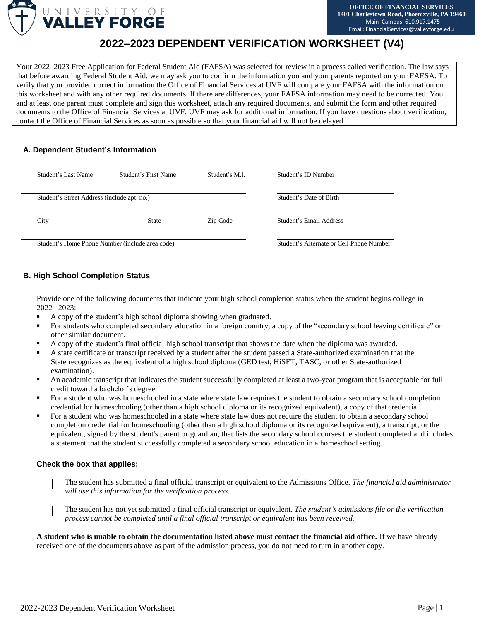

# **2022–2023 DEPENDENT VERIFICATION WORKSHEET (V4)**

Your 2022–2023 Free Application for Federal Student Aid (FAFSA) was selected for review in a process called verification. The law says that before awarding Federal Student Aid, we may ask you to confirm the information you and your parents reported on your FAFSA. To verify that you provided correct information the Office of Financial Services at UVF will compare your FAFSA with the information on this worksheet and with any other required documents. If there are differences, your FAFSA information may need to be corrected. You and at least one parent must complete and sign this worksheet, attach any required documents, and submit the form and other required documents to the Office of Financial Services at UVF. UVF may ask for additional information. If you have questions about verification, contact the Office of Financial Services as soon as possible so that your financial aid will not be delayed.

# **A. Dependent Student's Information**

| Student's Last Name                         | Student's First Name                            | Student's M.I.                           | Student's ID Number     |
|---------------------------------------------|-------------------------------------------------|------------------------------------------|-------------------------|
| Student's Street Address (include apt. no.) |                                                 |                                          | Student's Date of Birth |
| City                                        | <b>State</b>                                    | Zip Code                                 | Student's Email Address |
|                                             | Student's Home Phone Number (include area code) | Student's Alternate or Cell Phone Number |                         |

# **B. High School Completion Status**

Provide one of the following documents that indicate your high school completion status when the student begins college in 2022– 2023:

- A copy of the student's high school diploma showing when graduated.
- For students who completed secondary education in a foreign country, a copy of the "secondary school leaving certificate" or other similar document.
- A copy of the student's final official high school transcript that shows the date when the diploma was awarded.
- A state certificate or transcript received by a student after the student passed a State-authorized examination that the State recognizes as the equivalent of a high school diploma (GED test, HiSET, TASC, or other State-authorized examination).
- An academic transcript that indicates the student successfully completed at least a two-year program that is acceptable for full credit toward a bachelor's degree.
- For a student who was homeschooled in a state where state law requires the student to obtain a secondary school completion credential for homeschooling (other than a high school diploma or its recognized equivalent), a copy of that credential.
- For a student who was homeschooled in a state where state law does not require the student to obtain a secondary school completion credential for homeschooling (other than a high school diploma or its recognized equivalent), a transcript, or the equivalent, signed by the student's parent or guardian, that lists the secondary school courses the student completed and includes a statement that the student successfully completed a secondary school education in a homeschool setting.

## **Check the box that applies:**

The student has submitted a final official transcript or equivalent to the Admissions Office. *The financial aid administrator will use this information for the verification process*.

The student has not yet submitted a final official transcript or equivalent. *The student's admissions file or the verification process cannot be completed until a final official transcript or equivalent has been received.*

**A student who is unable to obtain the documentation listed above must contact the financial aid office.** If we have already received one of the documents above as part of the admission process, you do not need to turn in another copy.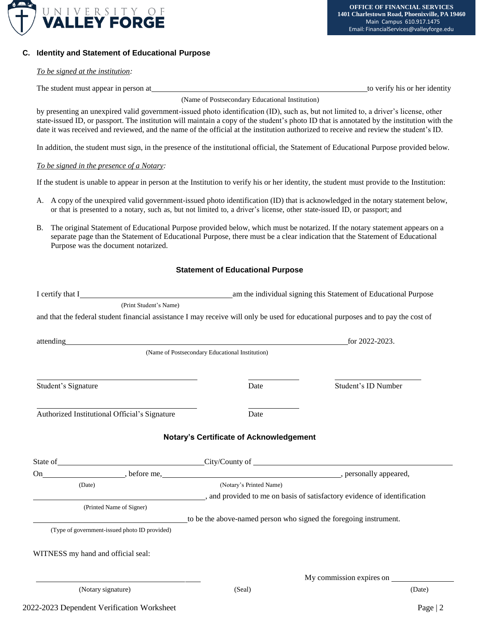

### **C. Identity and Statement of Educational Purpose**

#### *To be signed at the institution:*

The student must appear in person at the student must appear in person at the student must appear in person at

(Name of Postsecondary Educational Institution)

by presenting an unexpired valid government-issued photo identification (ID), such as, but not limited to, a driver's license, other state-issued ID, or passport. The institution will maintain a copy of the student's photo ID that is annotated by the institution with the date it was received and reviewed, and the name of the official at the institution authorized to receive and review the student's ID.

In addition, the student must sign, in the presence of the institutional official, the Statement of Educational Purpose provided below.

#### *To be signed in the presence of a Notary:*

If the student is unable to appear in person at the Institution to verify his or her identity, the student must provide to the Institution:

- A. A copy of the unexpired valid government-issued photo identification (ID) that is acknowledged in the notary statement below, or that is presented to a notary, such as, but not limited to, a driver's license, other state-issued ID, or passport; and
- B. The original Statement of Educational Purpose provided below, which must be notarized. If the notary statement appears on a separate page than the Statement of Educational Purpose, there must be a clear indication that the Statement of Educational Purpose was the document notarized.

## **Statement of Educational Purpose**

| I certify that I                                                                                                                                                                                                               | am the individual signing this Statement of Educational Purpose                                                                                                                                                                |                          |  |  |
|--------------------------------------------------------------------------------------------------------------------------------------------------------------------------------------------------------------------------------|--------------------------------------------------------------------------------------------------------------------------------------------------------------------------------------------------------------------------------|--------------------------|--|--|
| (Print Student's Name)                                                                                                                                                                                                         |                                                                                                                                                                                                                                |                          |  |  |
| and that the federal student financial assistance I may receive will only be used for educational purposes and to pay the cost of                                                                                              |                                                                                                                                                                                                                                |                          |  |  |
|                                                                                                                                                                                                                                |                                                                                                                                                                                                                                |                          |  |  |
| attending and the control of the control of the control of the control of the control of the control of the control of the control of the control of the control of the control of the control of the control of the control o |                                                                                                                                                                                                                                | for 2022-2023.           |  |  |
|                                                                                                                                                                                                                                | (Name of Postsecondary Educational Institution)                                                                                                                                                                                |                          |  |  |
|                                                                                                                                                                                                                                |                                                                                                                                                                                                                                |                          |  |  |
| Student's Signature                                                                                                                                                                                                            | Date                                                                                                                                                                                                                           | Student's ID Number      |  |  |
|                                                                                                                                                                                                                                |                                                                                                                                                                                                                                |                          |  |  |
| Authorized Institutional Official's Signature                                                                                                                                                                                  | Date                                                                                                                                                                                                                           |                          |  |  |
| State of Country City/County of City/Country of City/Country of City/Country of City/Country of City                                                                                                                           | <b>Notary's Certificate of Acknowledgement</b>                                                                                                                                                                                 |                          |  |  |
| On                                                                                                                                                                                                                             | example to the set of the set of the set of the set of the set of the set of the set of the set of the set of the set of the set of the set of the set of the set of the set of the set of the set of the set of the set of th |                          |  |  |
| (Date)                                                                                                                                                                                                                         | (Notary's Printed Name)                                                                                                                                                                                                        |                          |  |  |
|                                                                                                                                                                                                                                | and provided to me on basis of satisfactory evidence of identification                                                                                                                                                         |                          |  |  |
| (Printed Name of Signer)                                                                                                                                                                                                       |                                                                                                                                                                                                                                |                          |  |  |
|                                                                                                                                                                                                                                | to be the above-named person who signed the foregoing instrument.                                                                                                                                                              |                          |  |  |
| (Type of government-issued photo ID provided)                                                                                                                                                                                  |                                                                                                                                                                                                                                |                          |  |  |
| WITNESS my hand and official seal:                                                                                                                                                                                             |                                                                                                                                                                                                                                |                          |  |  |
|                                                                                                                                                                                                                                |                                                                                                                                                                                                                                | My commission expires on |  |  |
| (Notary signature)                                                                                                                                                                                                             | (Seal)                                                                                                                                                                                                                         | (Date)                   |  |  |